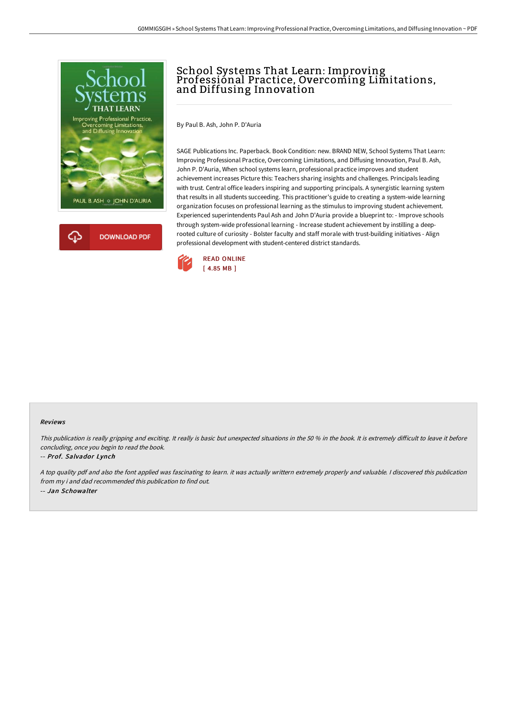

## School Systems That Learn: Improving Professional Practice, Overcoming Limitations, and Diffusing Innovation

By Paul B. Ash, John P. D'Auria

SAGE Publications Inc. Paperback. Book Condition: new. BRAND NEW, School Systems That Learn: Improving Professional Practice, Overcoming Limitations, and Diffusing Innovation, Paul B. Ash, John P. D'Auria, When school systems learn, professional practice improves and student achievement increases Picture this: Teachers sharing insights and challenges. Principals leading with trust. Central office leaders inspiring and supporting principals. A synergistic learning system that results in all students succeeding. This practitioner's guide to creating a system-wide learning organization focuses on professional learning as the stimulus to improving student achievement. Experienced superintendents Paul Ash and John D'Auria provide a blueprint to: - Improve schools through system-wide professional learning - Increase student achievement by instilling a deeprooted culture of curiosity - Bolster faculty and staff morale with trust-building initiatives - Align professional development with student-centered district standards.



## Reviews

This publication is really gripping and exciting. It really is basic but unexpected situations in the 50 % in the book. It is extremely difficult to leave it before concluding, once you begin to read the book.

## -- Prof. Salvador Lynch

<sup>A</sup> top quality pdf and also the font applied was fascinating to learn. it was actually writtern extremely properly and valuable. <sup>I</sup> discovered this publication from my i and dad recommended this publication to find out. -- Jan Schowalter